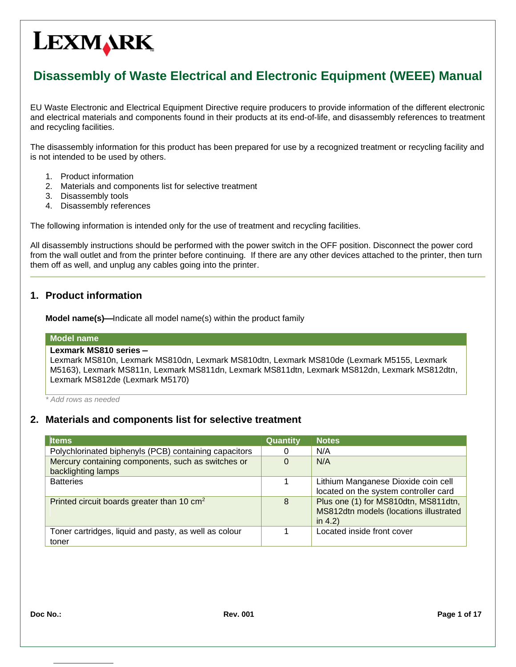# **LEXMARK**

# **Disassembly of Waste Electrical and Electronic Equipment (WEEE) Manual**

EU Waste Electronic and Electrical Equipment Directive require producers to provide information of the different electronic and electrical materials and components found in their products at its end-of-life, and disassembly references to treatment and recycling facilities.

The disassembly information for this product has been prepared for use by a recognized treatment or recycling facility and is not intended to be used by others.

- 1. Product information
- 2. Materials and components list for selective treatment
- 3. Disassembly tools
- 4. Disassembly references

The following information is intended only for the use of treatment and recycling facilities.

All disassembly instructions should be performed with the power switch in the OFF position. Disconnect the power cord from the wall outlet and from the printer before continuing. If there are any other devices attached to the printer, then turn them off as well, and unplug any cables going into the printer.

# **1. Product information**

**Model name(s)—**Indicate all model name(s) within the product family

#### **Model name**

#### **Lexmark MS810 series –**

Lexmark MS810n, Lexmark MS810dn, Lexmark MS810dtn, Lexmark MS810de (Lexmark M5155, Lexmark M5163), Lexmark MS811n, Lexmark MS811dn, Lexmark MS811dtn, Lexmark MS812dn, Lexmark MS812dtn, Lexmark MS812de (Lexmark M5170)

*\* Add rows as needed*

### **2. Materials and components list for selective treatment**

| <b>Items</b>                                           | Quantity | <b>Notes</b>                           |
|--------------------------------------------------------|----------|----------------------------------------|
| Polychlorinated biphenyls (PCB) containing capacitors  |          | N/A                                    |
| Mercury containing components, such as switches or     |          | N/A                                    |
| backlighting lamps                                     |          |                                        |
| <b>Batteries</b>                                       |          | Lithium Manganese Dioxide coin cell    |
|                                                        |          | located on the system controller card  |
| Printed circuit boards greater than 10 cm <sup>2</sup> | 8        | Plus one (1) for MS810dtn, MS811dtn,   |
|                                                        |          | MS812dtn models (locations illustrated |
|                                                        |          | in $4.2$ )                             |
| Toner cartridges, liquid and pasty, as well as colour  |          | Located inside front cover             |
| toner                                                  |          |                                        |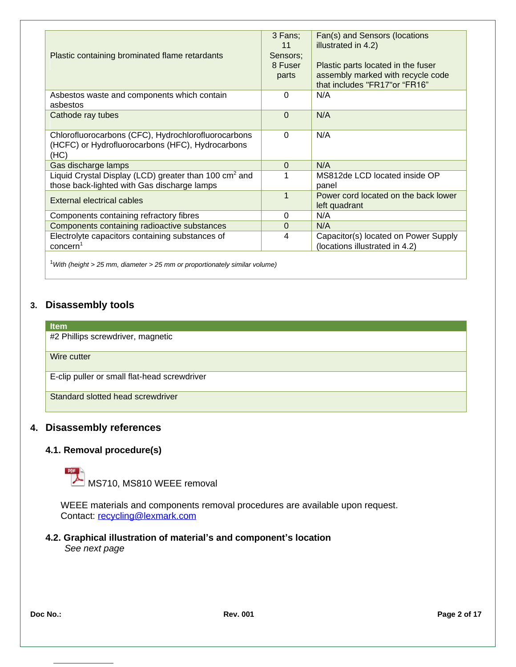|                                                                   | 3 Fans;        | Fan(s) and Sensors (locations        |
|-------------------------------------------------------------------|----------------|--------------------------------------|
|                                                                   | 11             | illustrated in 4.2)                  |
| Plastic containing brominated flame retardants                    | Sensors:       |                                      |
|                                                                   | 8 Fuser        | Plastic parts located in the fuser   |
|                                                                   | parts          | assembly marked with recycle code    |
|                                                                   |                | that includes "FR17" or "FR16"       |
|                                                                   |                |                                      |
| Asbestos waste and components which contain                       | $\Omega$       | N/A                                  |
| asbestos                                                          |                |                                      |
| Cathode ray tubes                                                 | $\Omega$       | N/A                                  |
|                                                                   |                |                                      |
| Chlorofluorocarbons (CFC), Hydrochlorofluorocarbons               | $\Omega$       | N/A                                  |
| (HCFC) or Hydrofluorocarbons (HFC), Hydrocarbons                  |                |                                      |
| (HC)                                                              |                |                                      |
| Gas discharge lamps                                               | $\Omega$       | N/A                                  |
| Liquid Crystal Display (LCD) greater than 100 cm <sup>2</sup> and |                | MS812de LCD located inside OP        |
|                                                                   |                |                                      |
| those back-lighted with Gas discharge lamps                       |                | panel                                |
| External electrical cables                                        | $\overline{1}$ | Power cord located on the back lower |
|                                                                   |                | left quadrant                        |
| Components containing refractory fibres                           | $\Omega$       | N/A                                  |
| Components containing radioactive substances                      | $\Omega$       | N/A                                  |
| Electrolyte capacitors containing substances of                   | 4              | Capacitor(s) located on Power Supply |
| concern <sup>1</sup>                                              |                | (locations illustrated in 4.2)       |
|                                                                   |                |                                      |

<sup>1</sup>*With (height > 25 mm, diameter > 25 mm or proportionately similar volume)*

# **3. Disassembly tools**

# **Item** #2 Phillips screwdriver, magnetic Wire cutter E-clip puller or small flat-head screwdriver Standard slotted head screwdriver

# **4. Disassembly references**

### **4.1. Removal procedure(s)**



WEEE materials and components removal procedures are available upon request. Contact: recycling@lexmark.com

#### **4.2. Graphical illustration of material's and component's location** *See next page*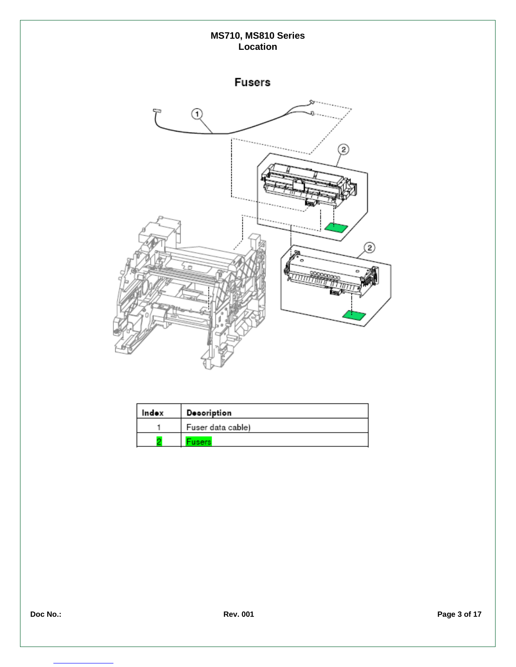

| Indox | Decoription       |
|-------|-------------------|
|       | Fuser data cable) |
|       | <b>Tusers</b>     |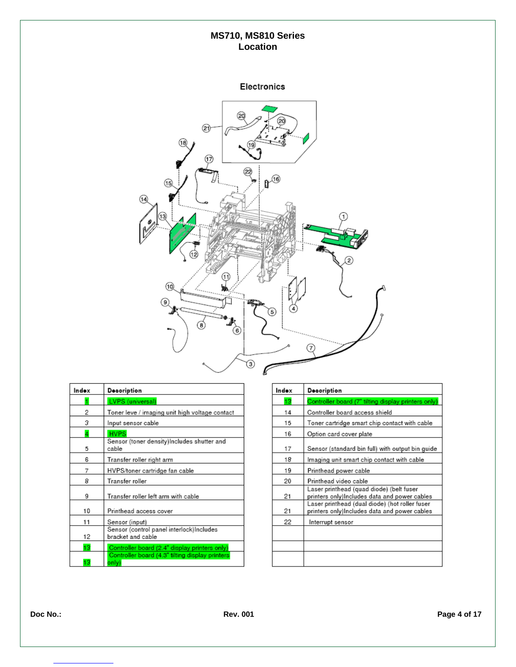Electronics



| Indox | Decoription                                                    |
|-------|----------------------------------------------------------------|
| 1     | <b>LVPS</b> (universal)                                        |
| 2     | Toner leve / imaging unit high voltage contact                 |
| 3     | Input sensor cable                                             |
| 4     | <b>HVPS</b>                                                    |
| 5     | Sensor (toner density) Includes shutter and<br>cable           |
| 6     | Transfer roller right arm                                      |
| 7     | HVPS/toner cartridge fan cable                                 |
| 8     | Transfer roller                                                |
| 9     | Transfer roller left arm with cable                            |
| 10    | Printhead access cover                                         |
| 11    | Sensor (input)                                                 |
| 12    | Sensor (control panel interlock) Includes<br>bracket and cable |
| 13    | Controller board (2.4" display printers only)                  |
| 13    | Controller board (4.3" tilting display printers<br>only).      |

| Indox | Decoription                                                                                    |
|-------|------------------------------------------------------------------------------------------------|
| 13    | Controller board (7" tilting display printers only)                                            |
| 14    | Controller board access shield                                                                 |
| 15    | Toner cartridge smart chip contact with cable                                                  |
| 16    | Option card cover plate                                                                        |
| 17    | Sensor (standard bin full) with output bin guide                                               |
| 18    | Imaging unit smart chip contact with cable                                                     |
| 19    | Printhead power cable                                                                          |
| 20    | Printhead video cable                                                                          |
| 21    | Laser printhead (quad diode) (belt fuser<br>printers only)Includes data and power cables       |
| 21    | Laser printhead (dual diode) (hot roller fuser<br>printers only)Includes data and power cables |
| 22    | Interrupt sensor                                                                               |
|       |                                                                                                |
|       |                                                                                                |
|       |                                                                                                |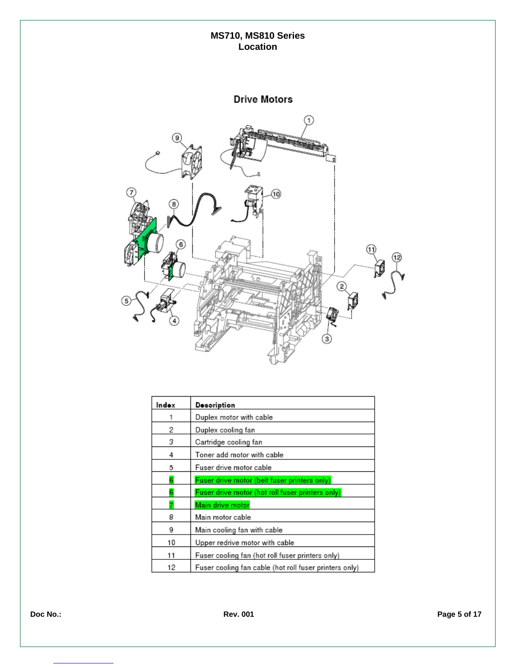

| Indox | Decoription                                            |
|-------|--------------------------------------------------------|
|       | Duplex motor with cable                                |
| 2     | Duplex cooling fan                                     |
| 3     | Cartridge cooling fan                                  |
| 4     | Toner add motor with cable                             |
| 5     | Fuser drive motor cable                                |
| 6     | Fuser drive motor (belt fuser printers only)           |
| 6     | Fuser drive motor (hot roll fuser printers only)       |
|       | Main drive motor                                       |
| 8     | Main motor cable                                       |
| 9     | Main cooling fan with cable                            |
| 10    | Upper redrive motor with cable                         |
| 11    | Fuser cooling fan (hot roll fuser printers only)       |
| 12    | Fuser cooling fan cable (hot roll fuser printers only) |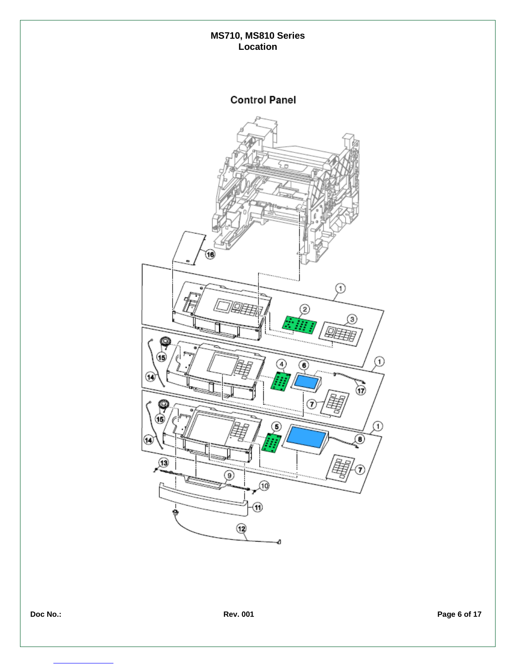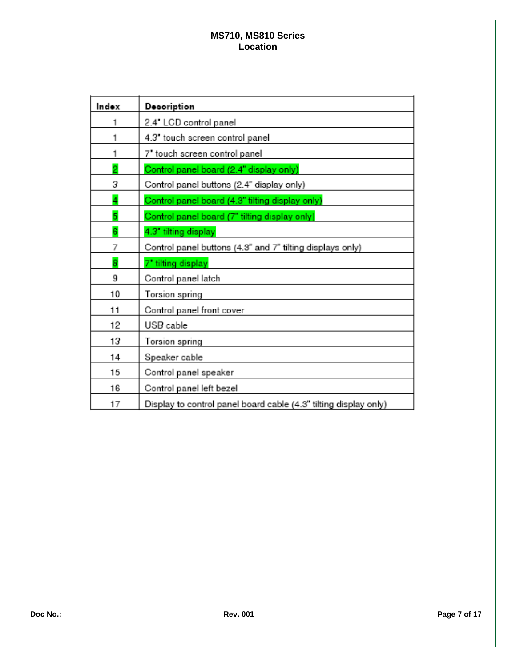| Indox          | <b>Decoription</b>                                               |
|----------------|------------------------------------------------------------------|
|                | 2.4" LCD control panel                                           |
| 1              | 4.3' touch screen control panel                                  |
| 1              | 7' touch screen control panel                                    |
| $\overline{2}$ | Control panel board (2.4" display only)                          |
| 3              | Control panel buttons (2.4" display only)                        |
| 4              | Control panel board (4.3" tilting display only)                  |
| 5              | Control panel board (7" tilting display only)                    |
| 6              | 4.3 tilting display                                              |
| 7              | Control panel buttons (4.3" and 7" tilting displays only)        |
| 8              | 7' tilting display                                               |
| 9              | Control panel latch                                              |
| 10             | Torsion spring                                                   |
| 11             | Control panel front cover                                        |
| 12             | USB cable                                                        |
| 13             | Torsion spring                                                   |
| 14             | Speaker cable                                                    |
| 15             | Control panel speaker                                            |
| 16             | Control panel left bezel                                         |
| 17             | Display to control panel board cable (4.3" tilting display only) |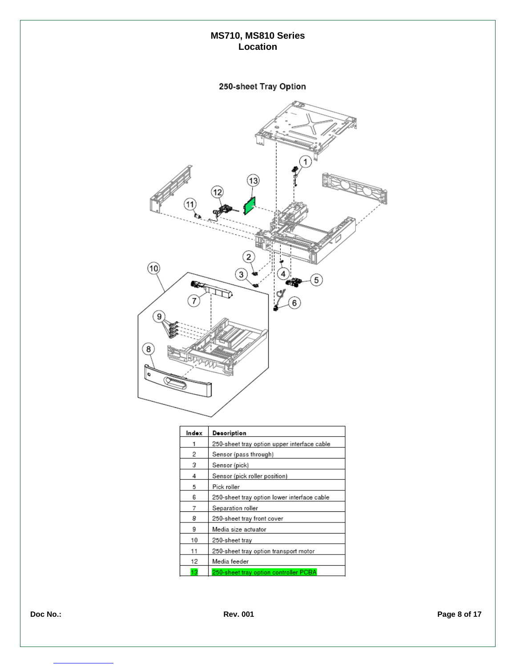# 250-sheet Tray Option



| Indox | Decoription                                 |
|-------|---------------------------------------------|
|       | 250-sheet tray option upper interface cable |
| 2     | Sensor (pass through)                       |
| з     | Sensor (pick)                               |
| 4     | Sensor (pick roller position)               |
| 5     | Pick roller                                 |
| 6     | 250-sheet tray option lower interface cable |
| 7     | Separation roller                           |
| 8     | 250-sheet tray front cover                  |
| 9     | Media size actuator                         |
| 10    | 250-sheet tray                              |
| 11    | 250-sheet tray option transport motor       |
| 12    | Media feeder                                |
| 13    | 250-sheet tray option controller PCBA       |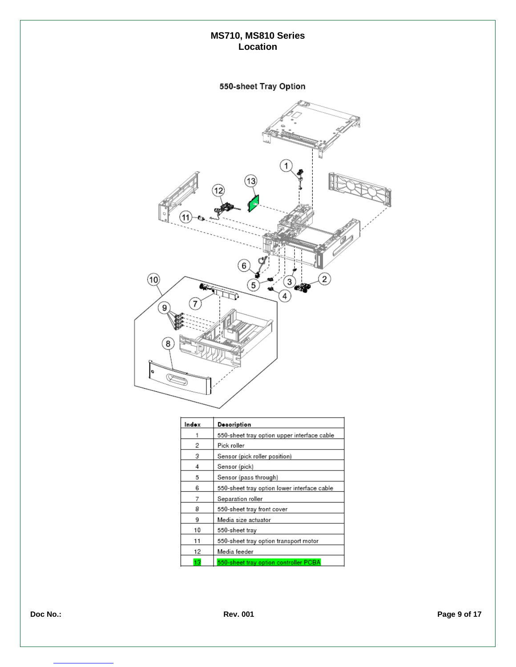# 550-sheet Tray Option



| Indox | Decoription                                 |
|-------|---------------------------------------------|
|       | 550-sheet tray option upper interface cable |
| 2     | Pick roller                                 |
| 3     | Sensor (pick roller position)               |
| 4     | Sensor (pick)                               |
| 5     | Sensor (pass through)                       |
| 6     | 550-sheet tray option lower interface cable |
| 7     | Separation roller                           |
| 8     | 550-sheet tray front cover                  |
| 9     | Media size actuator                         |
| 10    | 550-sheet tray                              |
| 11    | 550-sheet tray option transport motor       |
| 12    | Media feeder                                |
| 13    | 550-sheet tray option controller PCBA       |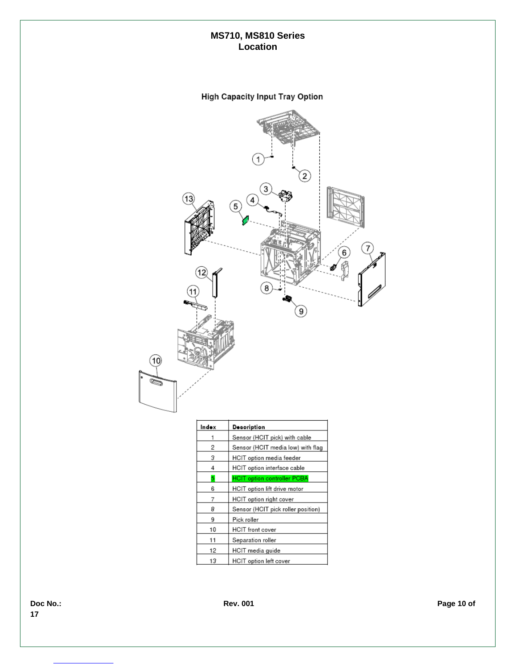# **High Capacity Input Tray Option**



| Indox | Desoription                        |
|-------|------------------------------------|
|       | Sensor (HCIT pick) with cable      |
| 2     | Sensor (HCIT media low) with flag  |
| 3     | HCIT option media feeder           |
| 4     | HCIT option interface cable        |
| 5     | <b>HCIT option controller PCBA</b> |
| 6     | HCIT option lift drive motor       |
| 7     | HCIT option right cover            |
| 8     | Sensor (HCIT pick roller position) |
| 9     | Pick roller                        |
| 10    | HCIT front cover                   |
| 11    | Separation roller                  |
| 12    | HCIT media guide                   |
| 13    | HCIT option left cover             |

**17**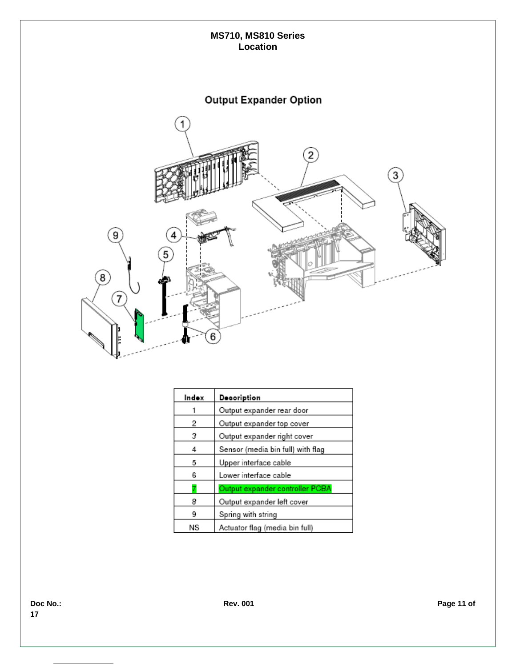

| In do x | Decoription                       |
|---------|-----------------------------------|
|         | Output expander rear door         |
| 2       | Output expander top cover         |
| з       | Output expander right cover       |
| 4       | Sensor (media bin full) with flag |
| 5       | Upper interface cable             |
| 6       | Lower interface cable             |
|         | Output expander controller PCBA   |
| 8       | Output expander left cover        |
| 9       | Spring with string                |
| ΝS      | Actuator flag (media bin full)    |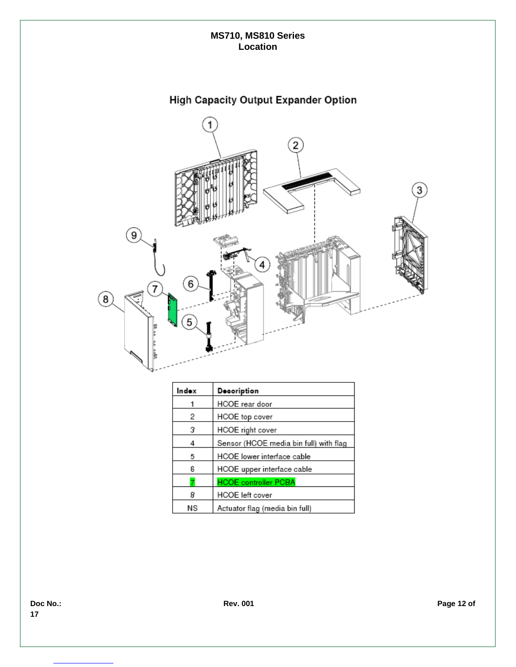

| Indox | Decoription                            |
|-------|----------------------------------------|
|       | HCOE rear door                         |
| 2     | HCOE top cover                         |
| 3     | HCOE right cover                       |
| 4     | Sensor (HCOE media bin full) with flag |
| 5     | HCOE lower interface cable             |
| 6     | HCOE upper interface cable             |
|       | <b>HCOE controller PCBA</b>            |
| 8     | HCOE left cover                        |
| ΝS    | Actuator flag (media bin full)         |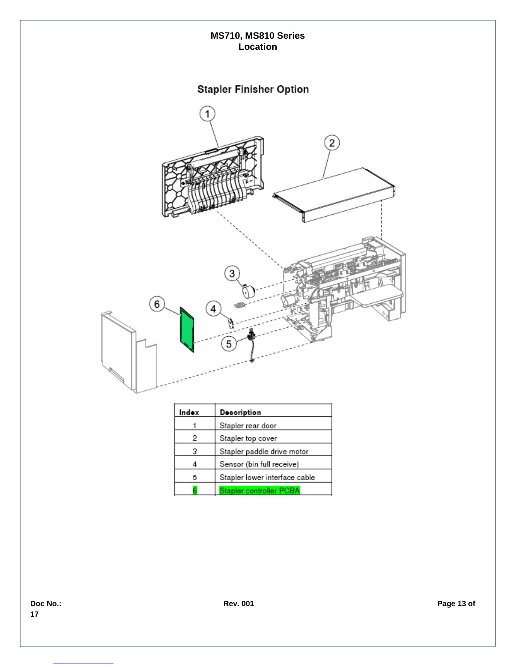

| Indox | Decoription                   |  |
|-------|-------------------------------|--|
|       | Stapler rear door             |  |
| 2     | Stapler top cover             |  |
| з     | Stapler paddle drive motor    |  |
|       | Sensor (bin full receive)     |  |
|       | Stapler lower interface cable |  |
|       | Stapler controller PCBA       |  |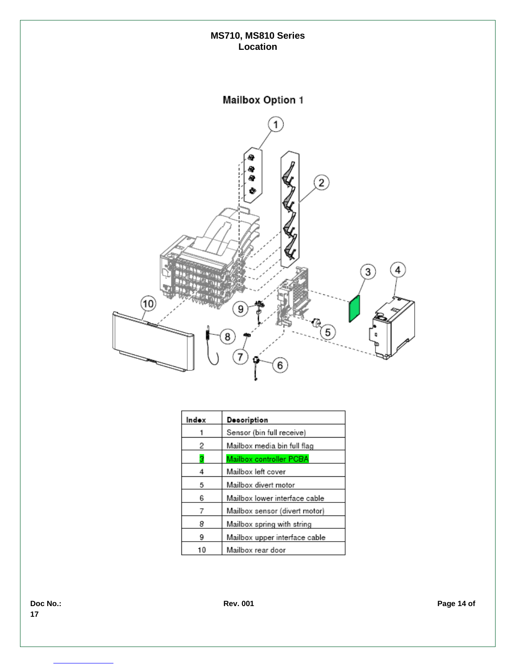

| Indox | Decoription                   |
|-------|-------------------------------|
|       | Sensor (bin full receive)     |
| 2     | Mailbox media bin full flag   |
| з     | Mailbox controller PCBA       |
| 4     | Mailbox left cover            |
| 5     | Mailbox divert motor          |
| 6     | Mailbox lower interface cable |
| 7     | Mailbox sensor (divert motor) |
| 8     | Mailbox spring with string    |
| 9     | Mailbox upper interface cable |
| 10    | Mailbox rear door             |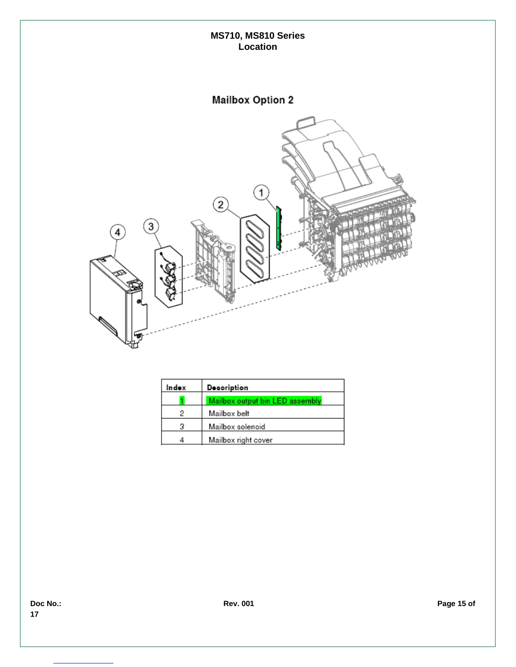

| Indox | Decoription                     |
|-------|---------------------------------|
|       | Mailbox output bin LED assembly |
|       | Mailbox belt                    |
| з     | Mailbox solenoid                |
|       | Mailbox right cover             |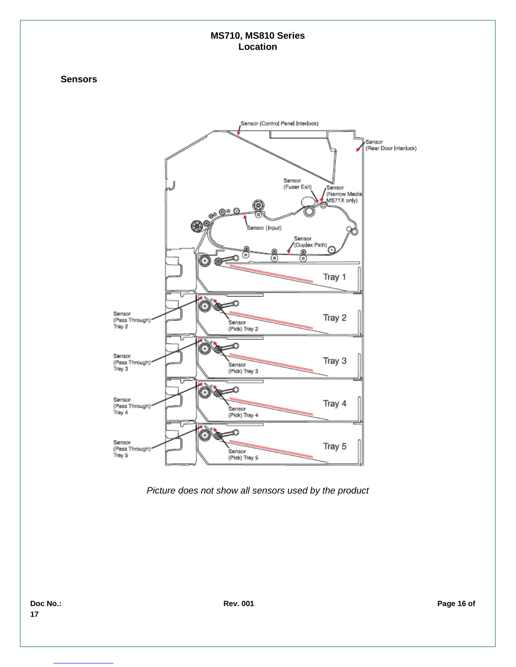#### **Sensors**